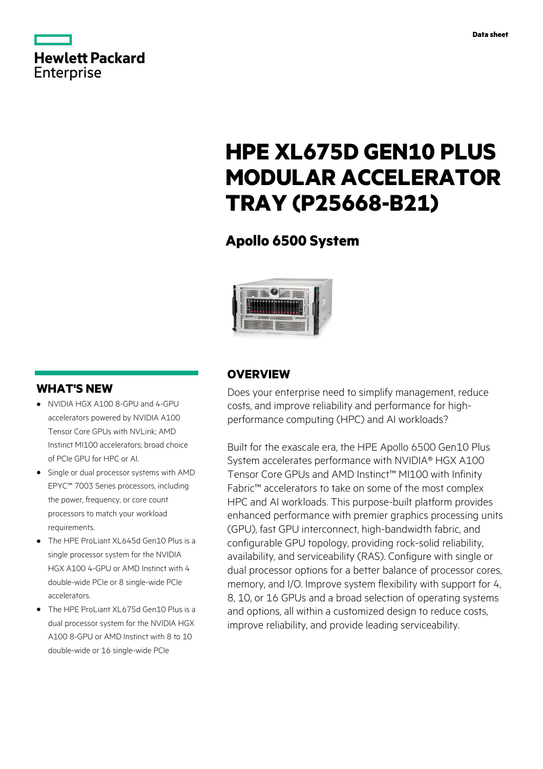

## **Hewlett Packard Enterprise**

# **HPE XL675D GEN10 PLUS MODULAR ACCELERATOR TRAY (P25668-B21)**

### **Apollo 6500 System**



### **WHAT'S NEW**

- **·** NVIDIA HGX A100 8-GPU and 4-GPU accelerators powered by NVIDIA A100 Tensor Core GPUs with NVLink; AMD Instinct MI100 accelerators; broad choice of PCIe GPU for HPC or AI.
- **·** Single or dual processor systems with AMD EPYC™ 7003 Series processors, including the power, frequency, or core count processors to match your workload requirements.
- **·** The HPE ProLiant XL645d Gen10 Plus is a single processor system for the NVIDIA HGX A100 4-GPU or AMD Instinct with 4 double-wide PCIe or 8 single-wide PCIe accelerators.
- **·** The HPE ProLiant XL675d Gen10 Plus is a dual processor system for the NVIDIA HGX A100 8-GPU or AMD Instinct with 8 to 10 double-wide or 16 single-wide PCIe

### **OVERVIEW**

Does your enterprise need to simplify management, reduce costs, and improve reliability and performance for highperformance computing (HPC) and AI workloads?

Built for the exascale era, the HPE Apollo 6500 Gen10 Plus System accelerates performance with NVIDIA® HGX A100 Tensor Core GPUs and AMD Instinct™ MI100 with Infinity Fabric™ accelerators to take on some of the most complex HPC and AI workloads. This purpose-built platform provides enhanced performance with premier graphics processing units (GPU), fast GPU interconnect, high-bandwidth fabric, and configurable GPU topology, providing rock-solid reliability, availability, and serviceability (RAS). Configure with single or dual processor options for a better balance of processor cores, memory, and I/O. Improve system flexibility with support for 4, 8, 10, or 16 GPUs and a broad selection of operating systems and options, all within a customized design to reduce costs, improve reliability, and provide leading serviceability.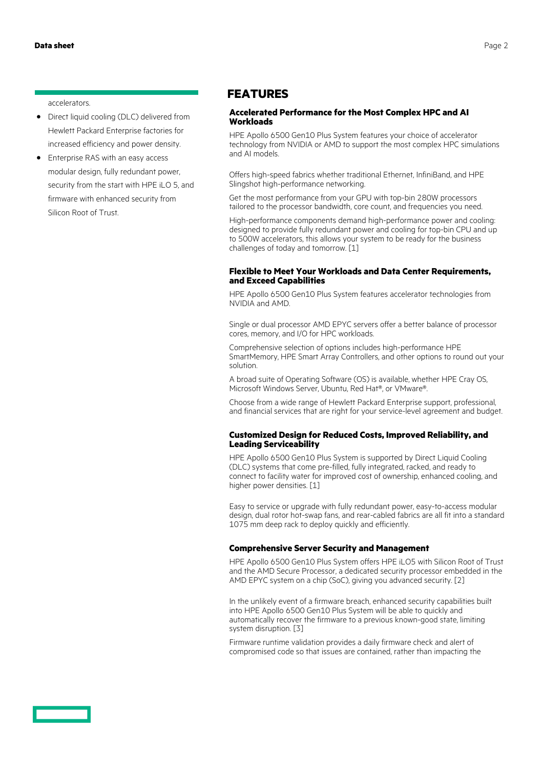#### accelerators.

- **·** Direct liquid cooling (DLC) delivered from Hewlett Packard Enterprise factories for increased efficiency and power density.
- **·** Enterprise RAS with an easy access modular design, fully redundant power, security from the start with HPE iLO 5, and firmware with enhanced security from Silicon Root of Trust.

#### **FEATURES**

#### **Accelerated Performance for the Most Complex HPC and AI Workloads**

HPE Apollo 6500 Gen10 Plus System features your choice of accelerator technology from NVIDIA or AMD to support the most complex HPC simulations and AI models.

Offers high-speed fabrics whether traditional Ethernet, InfiniBand, and HPE Slingshot high-performance networking.

Get the most performance from your GPU with top-bin 280W processors tailored to the processor bandwidth, core count, and frequencies you need.

High-performance components demand high-performance power and cooling: designed to provide fully redundant power and cooling for top-bin CPU and up to 500W accelerators, this allows your system to be ready for the business challenges of today and tomorrow. [1]

#### **Flexible to Meet Your Workloads and Data Center Requirements, and Exceed Capabilities**

HPE Apollo 6500 Gen10 Plus System features accelerator technologies from NVIDIA and AMD.

Single or dual processor AMD EPYC servers offer a better balance of processor cores, memory, and I/O for HPC workloads.

Comprehensive selection of options includes high-performance HPE SmartMemory, HPE Smart Array Controllers, and other options to round out your solution.

A broad suite of Operating Software (OS) is available, whether HPE Cray OS, Microsoft Windows Server, Ubuntu, Red Hat®, or VMware®.

Choose from a wide range of Hewlett Packard Enterprise support, professional, and financial services that are right for your service-level agreement and budget.

#### **Customized Design for Reduced Costs, Improved Reliability, and Leading Serviceability**

HPE Apollo 6500 Gen10 Plus System is supported by Direct Liquid Cooling (DLC) systems that come pre-filled, fully integrated, racked, and ready to connect to facility water for improved cost of ownership, enhanced cooling, and higher power densities. [1]

Easy to service or upgrade with fully redundant power, easy-to-access modular design, dual rotor hot-swap fans, and rear-cabled fabrics are all fit into a standard 1075 mm deep rack to deploy quickly and efficiently.

#### **Comprehensive Server Security and Management**

HPE Apollo 6500 Gen10 Plus System offers HPE iLO5 with Silicon Root of Trust and the AMD Secure Processor, a dedicated security processor embedded in the AMD EPYC system on a chip (SoC), giving you advanced security. [2]

In the unlikely event of a firmware breach, enhanced security capabilities built into HPE Apollo 6500 Gen10 Plus System will be able to quickly and automatically recover the firmware to a previous known-good state, limiting system disruption. [3]

Firmware runtime validation provides a daily firmware check and alert of compromised code so that issues are contained, rather than impacting the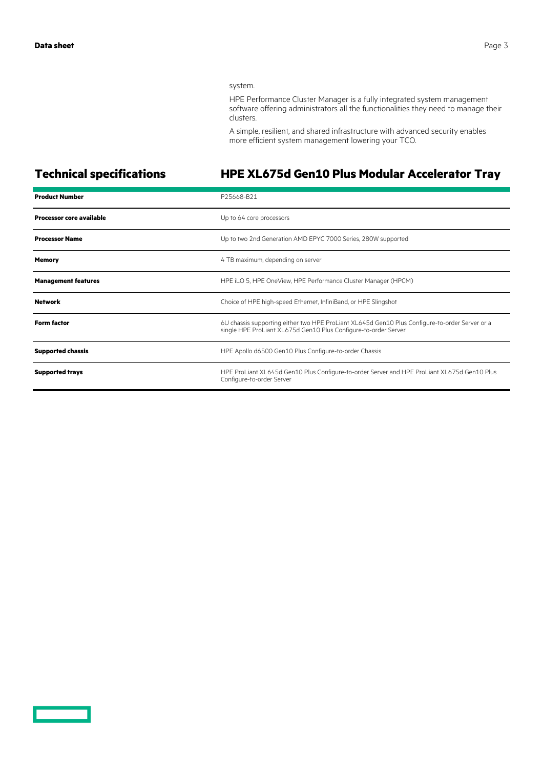#### system.

HPE Performance Cluster Manager is a fully integrated system management software offering administrators all the functionalities they need to manage their clusters.

A simple, resilient, and shared infrastructure with advanced security enables more efficient system management lowering your TCO.

### **Technical specifications HPE XL675d Gen10 Plus Modular Accelerator Tray**

| <b>Product Number</b>           | P25668-B21                                                                                                                                                        |
|---------------------------------|-------------------------------------------------------------------------------------------------------------------------------------------------------------------|
| <b>Processor core available</b> | Up to 64 core processors                                                                                                                                          |
| <b>Processor Name</b>           | Up to two 2nd Generation AMD EPYC 7000 Series, 280W supported                                                                                                     |
| <b>Memory</b>                   | 4 TB maximum, depending on server                                                                                                                                 |
| <b>Management features</b>      | HPE iLO 5, HPE OneView, HPE Performance Cluster Manager (HPCM)                                                                                                    |
| <b>Network</b>                  | Choice of HPE high-speed Ethernet, InfiniBand, or HPE Slingshot                                                                                                   |
| <b>Form factor</b>              | 6U chassis supporting either two HPE ProLiant XL645d Gen10 Plus Configure-to-order Server or a<br>single HPE ProLiant XL675d Gen10 Plus Configure-to-order Server |
| <b>Supported chassis</b>        | HPE Apollo d6500 Gen10 Plus Configure-to-order Chassis                                                                                                            |
| <b>Supported trays</b>          | HPE ProLiant XL645d Gen10 Plus Configure-to-order Server and HPE ProLiant XL675d Gen10 Plus<br>Configure-to-order Server                                          |